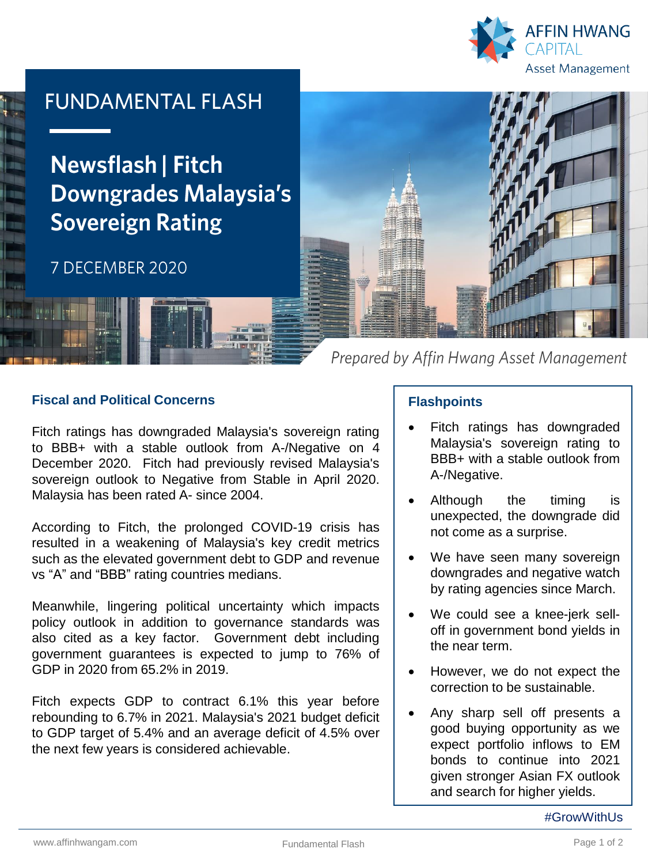

# **FUNDAMENTAL FLASH**

**Newsflash | Fitch Downgrades Malaysia's Sovereign Rating** 

## 7 DECEMBER 2020



Prepared by Affin Hwang Asset Management

#### **Fiscal and Political Concerns**

Fitch ratings has downgraded Malaysia's sovereign rating to BBB+ with a stable outlook from A-/Negative on 4 December 2020. Fitch had previously revised Malaysia's sovereign outlook to Negative from Stable in April 2020. Malaysia has been rated A- since 2004.

According to Fitch, the prolonged COVID-19 crisis has resulted in a weakening of Malaysia's key credit metrics such as the elevated government debt to GDP and revenue vs "A" and "BBB" rating countries medians.

Meanwhile, lingering political uncertainty which impacts policy outlook in addition to governance standards was also cited as a key factor. Government debt including government guarantees is expected to jump to 76% of GDP in 2020 from 65.2% in 2019.

Fitch expects GDP to contract 6.1% this year before rebounding to 6.7% in 2021. Malaysia's 2021 budget deficit to GDP target of 5.4% and an average deficit of 4.5% over the next few years is considered achievable.

### **Flashpoints**

- Fitch ratings has downgraded Malaysia's sovereign rating to BBB+ with a stable outlook from A-/Negative.
- Although the timing is unexpected, the downgrade did not come as a surprise.
- We have seen many sovereign downgrades and negative watch by rating agencies since March.
- We could see a knee-jerk selloff in government bond yields in the near term.
- However, we do not expect the correction to be sustainable.
- Any sharp sell off presents a good buying opportunity as we expect portfolio inflows to EM bonds to continue into 2021 given stronger Asian FX outlook and search for higher yields.